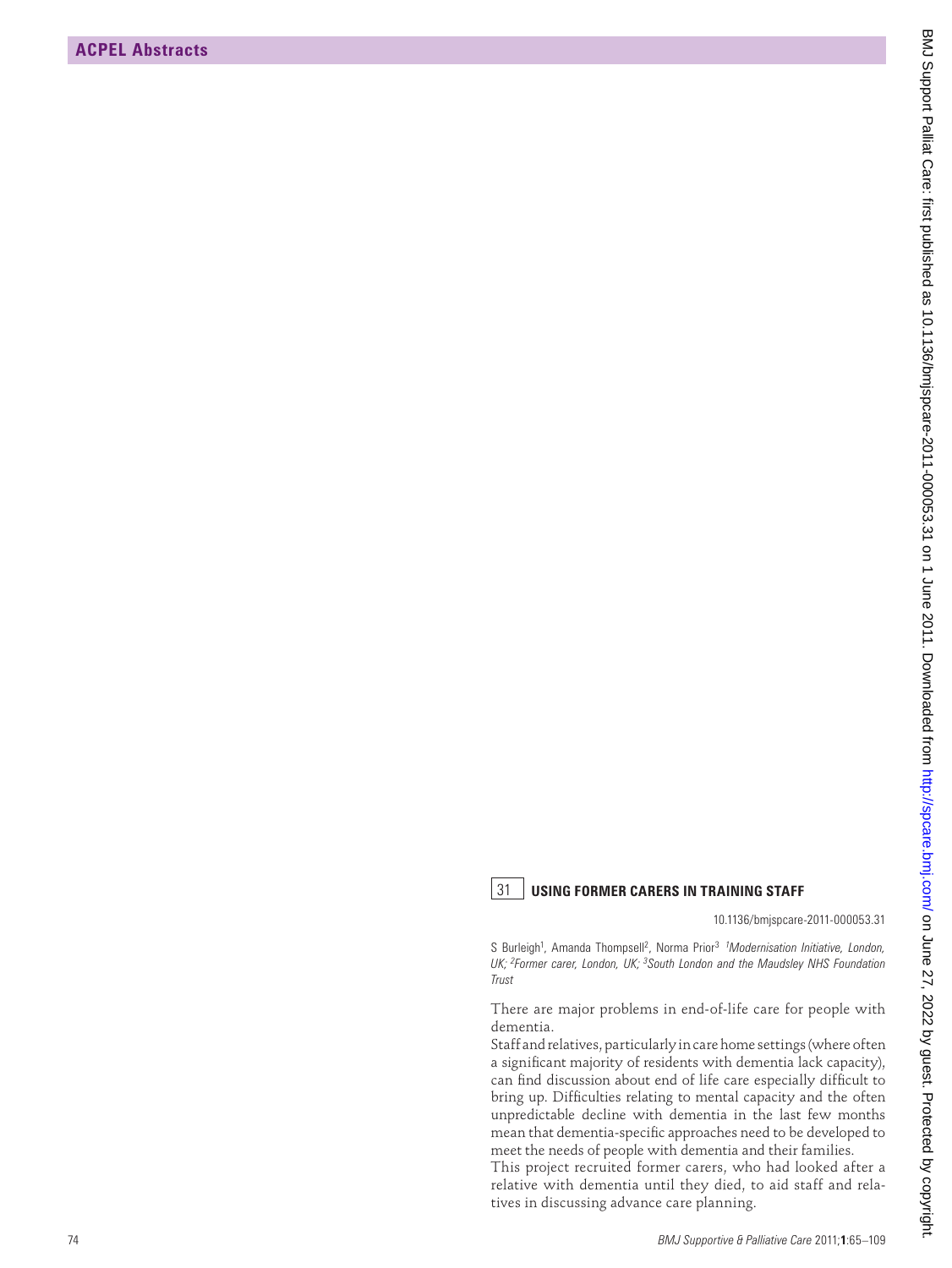## 31 **USING FORMER CARERS IN TRAINING STAFF**

10.1136/bmjspcare-2011-000053.31

S Burleigh<sup>1</sup>, Amanda Thompsell<sup>2</sup>, Norma Prior<sup>3</sup> <sup>1</sup>Modernisation Initiative, London, *UK; 2Former carer, London, UK; 3South London and the Maudsley NHS Foundation Trust*

There are major problems in end-of-life care for people with dementia.

Staff and relatives, particularly in care home settings (where often a significant majority of residents with dementia lack capacity), can find discussion about end of life care especially difficult to bring up. Difficulties relating to mental capacity and the often unpredictable decline with dementia in the last few months mean that dementia-specific approaches need to be developed to meet the needs of people with dementia and their families. **EXPLAINMENTS**<br> **EXPLAINMENTS**<br> **EXPLAINMENTS**<br> **EXPLAINMENTS**<br> **EXPLAINMENTS**<br> **EXPLAINMENTS**<br> **EXPLAINMENTS**<br> **EXPLAINMENTS**<br> **EXPLAINMENTS**<br> **EXPLAINMENTS**<br> **EXPLAINMENTS**<br> **EXPLAINMENTS**<br> **EXPLAINMENTS**<br> **EXPLAINMENTS** 

This project recruited former carers, who had looked after a relative with dementia until they died, to aid staff and relatives in discussing advance care planning.